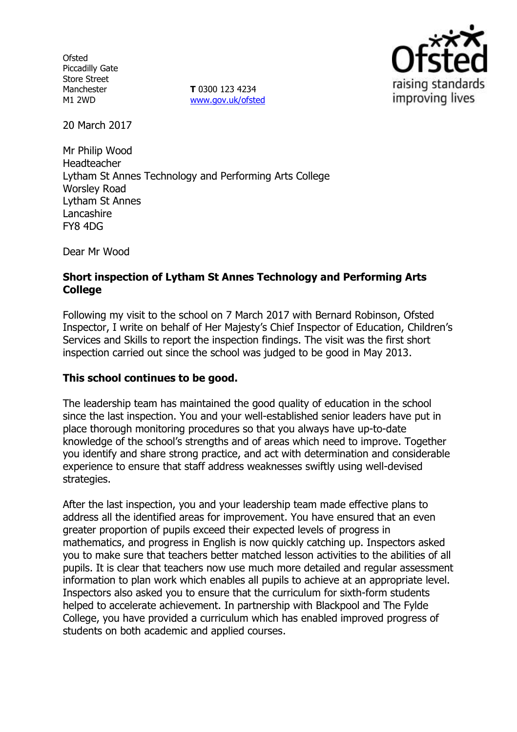**Ofsted** Piccadilly Gate Store Street Manchester M1 2WD

**T** 0300 123 4234 [www.gov.uk/ofsted](http://www.gov.uk/ofsted)



20 March 2017

Mr Philip Wood Headteacher Lytham St Annes Technology and Performing Arts College Worsley Road Lytham St Annes Lancashire FY8 4DG

Dear Mr Wood

### **Short inspection of Lytham St Annes Technology and Performing Arts College**

Following my visit to the school on 7 March 2017 with Bernard Robinson, Ofsted Inspector, I write on behalf of Her Majesty's Chief Inspector of Education, Children's Services and Skills to report the inspection findings. The visit was the first short inspection carried out since the school was judged to be good in May 2013.

### **This school continues to be good.**

The leadership team has maintained the good quality of education in the school since the last inspection. You and your well-established senior leaders have put in place thorough monitoring procedures so that you always have up-to-date knowledge of the school's strengths and of areas which need to improve. Together you identify and share strong practice, and act with determination and considerable experience to ensure that staff address weaknesses swiftly using well-devised strategies.

After the last inspection, you and your leadership team made effective plans to address all the identified areas for improvement. You have ensured that an even greater proportion of pupils exceed their expected levels of progress in mathematics, and progress in English is now quickly catching up. Inspectors asked you to make sure that teachers better matched lesson activities to the abilities of all pupils. It is clear that teachers now use much more detailed and regular assessment information to plan work which enables all pupils to achieve at an appropriate level. Inspectors also asked you to ensure that the curriculum for sixth-form students helped to accelerate achievement. In partnership with Blackpool and The Fylde College, you have provided a curriculum which has enabled improved progress of students on both academic and applied courses.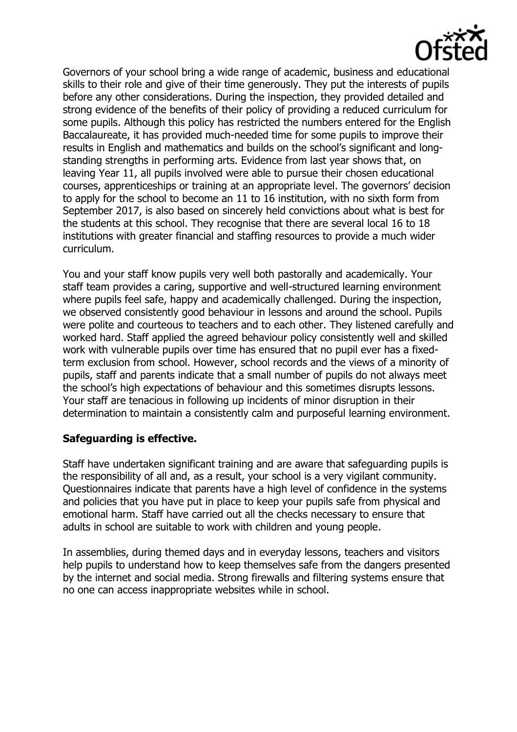

Governors of your school bring a wide range of academic, business and educational skills to their role and give of their time generously. They put the interests of pupils before any other considerations. During the inspection, they provided detailed and strong evidence of the benefits of their policy of providing a reduced curriculum for some pupils. Although this policy has restricted the numbers entered for the English Baccalaureate, it has provided much-needed time for some pupils to improve their results in English and mathematics and builds on the school's significant and longstanding strengths in performing arts. Evidence from last year shows that, on leaving Year 11, all pupils involved were able to pursue their chosen educational courses, apprenticeships or training at an appropriate level. The governors' decision to apply for the school to become an 11 to 16 institution, with no sixth form from September 2017, is also based on sincerely held convictions about what is best for the students at this school. They recognise that there are several local 16 to 18 institutions with greater financial and staffing resources to provide a much wider curriculum.

You and your staff know pupils very well both pastorally and academically. Your staff team provides a caring, supportive and well-structured learning environment where pupils feel safe, happy and academically challenged. During the inspection, we observed consistently good behaviour in lessons and around the school. Pupils were polite and courteous to teachers and to each other. They listened carefully and worked hard. Staff applied the agreed behaviour policy consistently well and skilled work with vulnerable pupils over time has ensured that no pupil ever has a fixedterm exclusion from school. However, school records and the views of a minority of pupils, staff and parents indicate that a small number of pupils do not always meet the school's high expectations of behaviour and this sometimes disrupts lessons. Your staff are tenacious in following up incidents of minor disruption in their determination to maintain a consistently calm and purposeful learning environment.

# **Safeguarding is effective.**

Staff have undertaken significant training and are aware that safeguarding pupils is the responsibility of all and, as a result, your school is a very vigilant community. Questionnaires indicate that parents have a high level of confidence in the systems and policies that you have put in place to keep your pupils safe from physical and emotional harm. Staff have carried out all the checks necessary to ensure that adults in school are suitable to work with children and young people.

In assemblies, during themed days and in everyday lessons, teachers and visitors help pupils to understand how to keep themselves safe from the dangers presented by the internet and social media. Strong firewalls and filtering systems ensure that no one can access inappropriate websites while in school.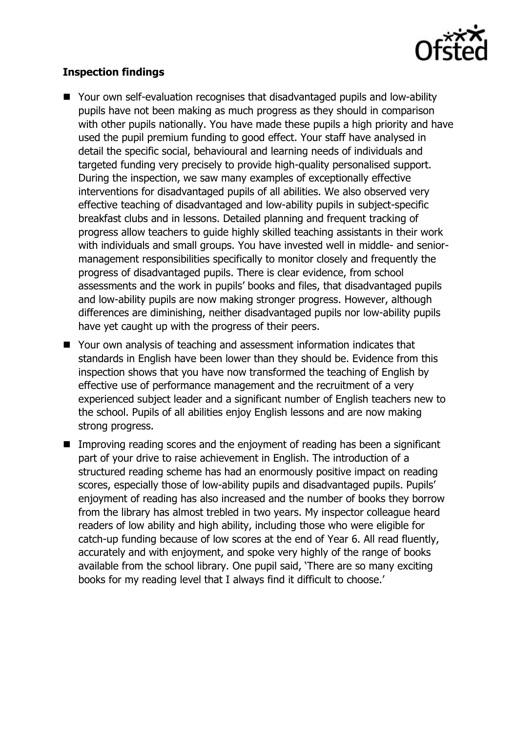

# **Inspection findings**

- Your own self-evaluation recognises that disadvantaged pupils and low-ability pupils have not been making as much progress as they should in comparison with other pupils nationally. You have made these pupils a high priority and have used the pupil premium funding to good effect. Your staff have analysed in detail the specific social, behavioural and learning needs of individuals and targeted funding very precisely to provide high-quality personalised support. During the inspection, we saw many examples of exceptionally effective interventions for disadvantaged pupils of all abilities. We also observed very effective teaching of disadvantaged and low-ability pupils in subject-specific breakfast clubs and in lessons. Detailed planning and frequent tracking of progress allow teachers to guide highly skilled teaching assistants in their work with individuals and small groups. You have invested well in middle- and seniormanagement responsibilities specifically to monitor closely and frequently the progress of disadvantaged pupils. There is clear evidence, from school assessments and the work in pupils' books and files, that disadvantaged pupils and low-ability pupils are now making stronger progress. However, although differences are diminishing, neither disadvantaged pupils nor low-ability pupils have yet caught up with the progress of their peers.
- Your own analysis of teaching and assessment information indicates that standards in English have been lower than they should be. Evidence from this inspection shows that you have now transformed the teaching of English by effective use of performance management and the recruitment of a very experienced subject leader and a significant number of English teachers new to the school. Pupils of all abilities enjoy English lessons and are now making strong progress.
- Improving reading scores and the enjoyment of reading has been a significant part of your drive to raise achievement in English. The introduction of a structured reading scheme has had an enormously positive impact on reading scores, especially those of low-ability pupils and disadvantaged pupils. Pupils' enjoyment of reading has also increased and the number of books they borrow from the library has almost trebled in two years. My inspector colleague heard readers of low ability and high ability, including those who were eligible for catch-up funding because of low scores at the end of Year 6. All read fluently, accurately and with enjoyment, and spoke very highly of the range of books available from the school library. One pupil said, 'There are so many exciting books for my reading level that I always find it difficult to choose.'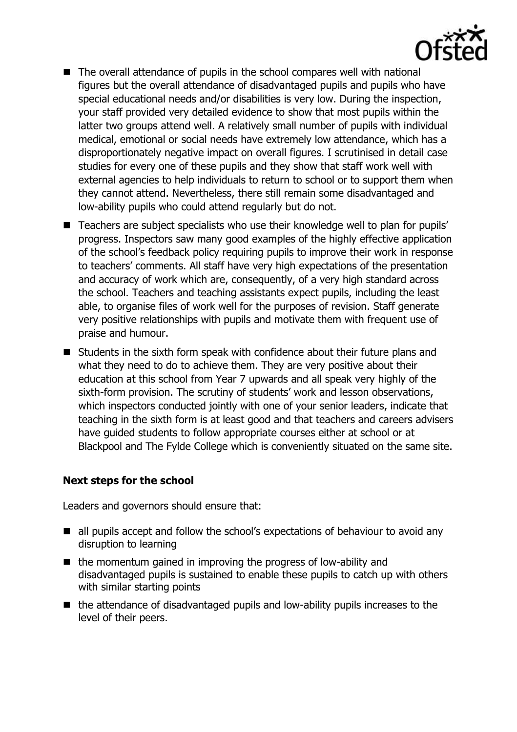

- The overall attendance of pupils in the school compares well with national figures but the overall attendance of disadvantaged pupils and pupils who have special educational needs and/or disabilities is very low. During the inspection, your staff provided very detailed evidence to show that most pupils within the latter two groups attend well. A relatively small number of pupils with individual medical, emotional or social needs have extremely low attendance, which has a disproportionately negative impact on overall figures. I scrutinised in detail case studies for every one of these pupils and they show that staff work well with external agencies to help individuals to return to school or to support them when they cannot attend. Nevertheless, there still remain some disadvantaged and low-ability pupils who could attend regularly but do not.
- Teachers are subject specialists who use their knowledge well to plan for pupils' progress. Inspectors saw many good examples of the highly effective application of the school's feedback policy requiring pupils to improve their work in response to teachers' comments. All staff have very high expectations of the presentation and accuracy of work which are, consequently, of a very high standard across the school. Teachers and teaching assistants expect pupils, including the least able, to organise files of work well for the purposes of revision. Staff generate very positive relationships with pupils and motivate them with frequent use of praise and humour.
- Students in the sixth form speak with confidence about their future plans and what they need to do to achieve them. They are very positive about their education at this school from Year 7 upwards and all speak very highly of the sixth-form provision. The scrutiny of students' work and lesson observations, which inspectors conducted jointly with one of your senior leaders, indicate that teaching in the sixth form is at least good and that teachers and careers advisers have guided students to follow appropriate courses either at school or at Blackpool and The Fylde College which is conveniently situated on the same site.

# **Next steps for the school**

Leaders and governors should ensure that:

- all pupils accept and follow the school's expectations of behaviour to avoid any disruption to learning
- $\blacksquare$  the momentum gained in improving the progress of low-ability and disadvantaged pupils is sustained to enable these pupils to catch up with others with similar starting points
- $\blacksquare$  the attendance of disadvantaged pupils and low-ability pupils increases to the level of their peers.